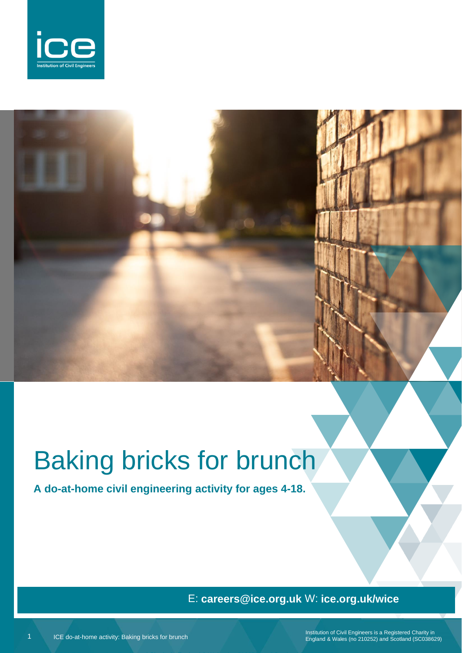

# Baking bricks for brunch

**A do-at-home civil engineering activity for ages 4-18.**

## E: **careers@ice.org.uk** W: **ice.org.uk/wice**

Institution of Civil Engineers is a Registered Charity in England & Wales (no 210252) and Scotland (SC038629)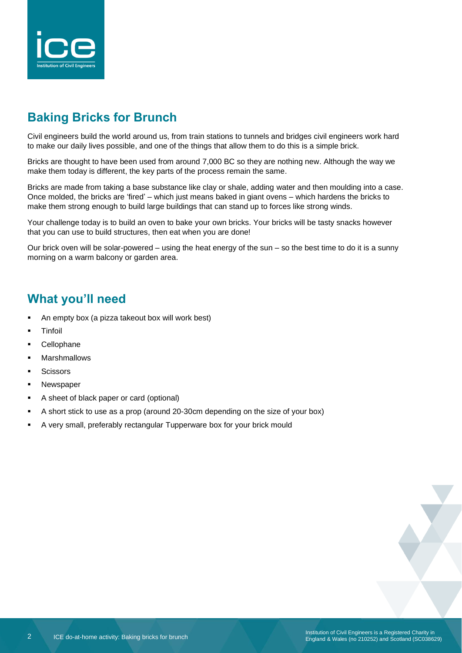

# **Baking Bricks for Brunch**

Civil engineers build the world around us, from train stations to tunnels and bridges civil engineers work hard to make our daily lives possible, and one of the things that allow them to do this is a simple brick.

Bricks are thought to have been used from around 7,000 BC so they are nothing new. Although the way we make them today is different, the key parts of the process remain the same.

Bricks are made from taking a base substance like clay or shale, adding water and then moulding into a case. Once molded, the bricks are 'fired' – which just means baked in giant ovens – which hardens the bricks to make them strong enough to build large buildings that can stand up to forces like strong winds.

Your challenge today is to build an oven to bake your own bricks. Your bricks will be tasty snacks however that you can use to build structures, then eat when you are done!

Our brick oven will be solar-powered – using the heat energy of the sun – so the best time to do it is a sunny morning on a warm balcony or garden area.

### **What you'll need**

- An empty box (a pizza takeout box will work best)
- **Tinfoil**
- Cellophane
- **Marshmallows**
- **Scissors**
- Newspaper
- A sheet of black paper or card (optional)
- A short stick to use as a prop (around 20-30cm depending on the size of your box)
- A very small, preferably rectangular Tupperware box for your brick mould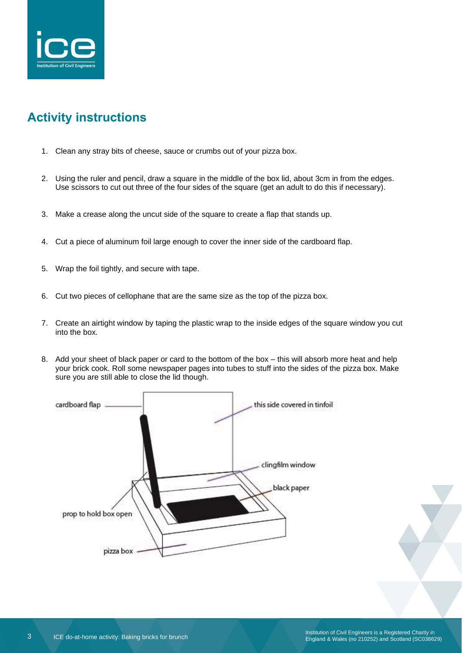

# **Activity instructions**

- 1. Clean any stray bits of cheese, sauce or crumbs out of your pizza box.
- 2. Using the ruler and pencil, draw a square in the middle of the box lid, about 3cm in from the edges. Use scissors to cut out three of the four sides of the square (get an adult to do this if necessary).
- 3. Make a crease along the uncut side of the square to create a flap that stands up.
- 4. Cut a piece of aluminum foil large enough to cover the inner side of the cardboard flap.
- 5. Wrap the foil tightly, and secure with tape.
- 6. Cut two pieces of cellophane that are the same size as the top of the pizza box.
- 7. Create an airtight window by taping the plastic wrap to the inside edges of the square window you cut into the box.
- 8. Add your sheet of black paper or card to the bottom of the box this will absorb more heat and help your brick cook. Roll some newspaper pages into tubes to stuff into the sides of the pizza box. Make sure you are still able to close the lid though.